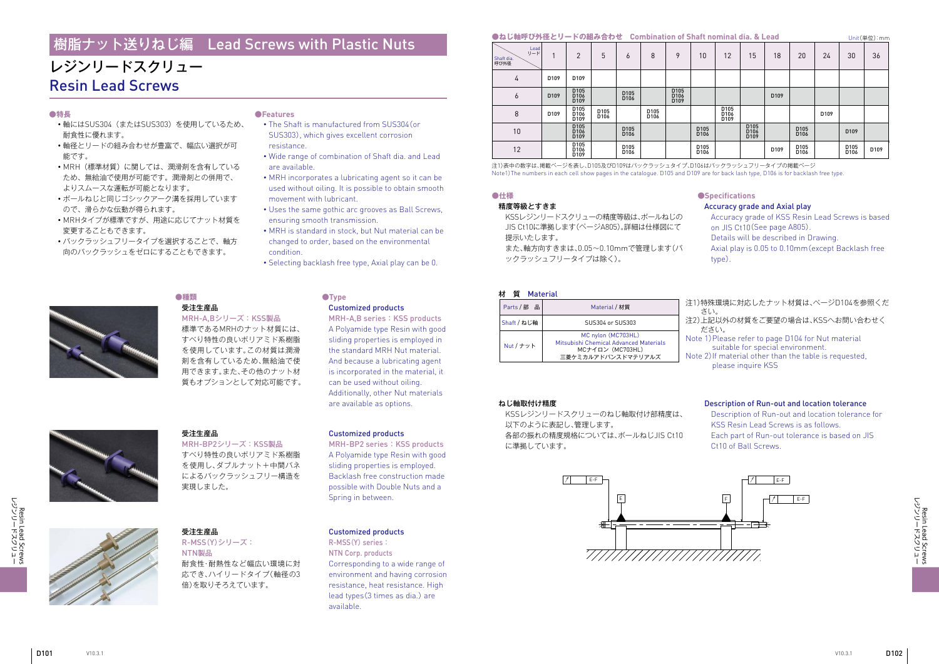Resin Lead Screws<br>レジンリードスクリュー フツソコードメクフュー Resin Lead Screws



# レジンリードスクリュー Resin Lead Screws

#### **●特長**

- ・軸にはSUS304(またはSUS303)を使用しているため、 耐食性に優れます。
- ・軸径とリードの組み合わせが豊富で、幅広い選択が可 能です。
- ・MRH(標準材質)に関しては、潤滑剤を含有している ため、無給油で使用が可能です。潤滑剤との併用で、 よりスムースな運転が可能となります。
- ・ボールねじと同じゴシックアーク溝を採用しています ので、滑らかな伝動が得られます。
- ・MRHタイプが標準ですが、用途に応じてナット材質を 変更することもできます。
- ・バックラッシュフリータイプを選択することで、軸方 向のバックラッシュをゼロにすることもできます。

#### **●Features**

- ・ The Shaft is manufactured from SUS304(or SUS303), which gives excellent corrosion resistance.
- ・ Wide range of combination of Shaft dia. and Lead are available.
- ・ MRH incorporates a lubricating agent so it can be used without oiling. It is possible to obtain smooth movement with lubricant.
- ・ Uses the same gothic arc grooves as Ball Screws, ensuring smooth transmission.
- ・ MRH is standard in stock, but Nut material can be changed to order, based on the environmental condition.
- ・ Selecting backlash free type, Axial play can be 0.

#### **●種類** 受注生産品

# MRH-A,Bシリーズ: KSS製品 **●Type**

標準であるMRHのナット材質には、 すべり特性の良いポリアミド系樹脂 を使用しています。この材質は潤滑 剤を含有しているため、無給油で使 用できます。また、その他のナット材 質もオプションとして対応可能です。

## Customized products

MRH-A,B series : KSS products A Polyamide type Resin with good sliding properties is employed in the standard MRH Nut material. And because a lubricating agent is incorporated in the material, it can be used without oiling. Additionally, other Nut materials are available as options.

受注生産品

MRH-BP2シリーズ: KSS製品 すべり特性の良いポリアミド系樹脂 を使用し、ダブルナット+中間バネ によるバックラッシュフリー構造を

実現しました。

#### Customized products

MRH-BP2 series : KSS products A Polyamide type Resin with good sliding properties is employed. Backlash free construction made possible with Double Nuts and a Spring in between.

#### 受注生産品 R-MSS(Y)シリーズ: NTN製品 耐食性・耐熱性など幅広い環境に対

応でき、ハイリードタイプ(軸径の3 倍)を取りそろえています。

#### Customized products

# NTN Corp. products

R-MSS(Y) series : Corresponding to a wide range of environment and having corrosion resistance, heat resistance. High lead types(3 times as dia.) are available.

#### **●ねじ軸呼び外径とリードの組み合わせ Combination of Shaft nominal dia. & Lead**

| Parts / 部<br>品 | Material / 材質                                                                    | 注1)特<br>⇉ |
|----------------|----------------------------------------------------------------------------------|-----------|
| Shaft / ねじ軸    | SUS304 or SUS303                                                                 | 注2)上<br>た |
| Nut / ナット      | MC nylon (MC703HL)<br>Mitsubishi Chemical Advanced Materials<br>MCナイロン (MC703HL) | Note      |
|                | 三菱ケミカルアドバンスドマテリアルズ                                                               | Note :    |

注1)表中の数字は、掲載ページを表し、D105及びD109はバックラッシュタイプ、D106はバックラッシュフリータイプの掲載ページ Note1)The numbers in each cell show pages in the catalogue. D105 and D109 are for back lash type, D106 is for backlash free type.

> 注1)特殊環境に対応したナット材質は、ぺージD104を参照くだ さい。

| . <u>.</u>                        |                  |                                                          | $\sim$ $\sim$ $\sim$ $\sim$ $\sim$ $\sim$ |                                      |              |                                  |                                      |                                              |                                  |                  |                                      |                  |                          |      |
|-----------------------------------|------------------|----------------------------------------------------------|-------------------------------------------|--------------------------------------|--------------|----------------------------------|--------------------------------------|----------------------------------------------|----------------------------------|------------------|--------------------------------------|------------------|--------------------------|------|
| Lead<br>リード<br>Shaft dia.<br>呼び外径 |                  | 2                                                        | 5                                         | O                                    | 8            | 9                                | 10                                   | 12                                           | 15                               | 18               | 20                                   | 24               | 30                       | 36   |
| 4                                 | D <sub>109</sub> | D <sub>109</sub>                                         |                                           |                                      |              |                                  |                                      |                                              |                                  |                  |                                      |                  |                          |      |
| 6                                 | D <sub>109</sub> | D105<br>D <sub>106</sub><br>D <sub>109</sub>             |                                           | D <sub>105</sub><br>D <sub>106</sub> |              | D105<br>D106<br>D <sub>109</sub> |                                      |                                              |                                  | D <sub>109</sub> |                                      |                  |                          |      |
| 8                                 | D <sub>109</sub> | D105<br>D106<br>D <sub>109</sub>                         | D105<br>D <sub>106</sub>                  |                                      | D105<br>D106 |                                  |                                      | D105<br>D <sub>106</sub><br>D <sub>109</sub> |                                  |                  |                                      | D <sub>109</sub> |                          |      |
| 10                                |                  | D <sub>105</sub><br>D <sub>106</sub><br>D <sub>109</sub> |                                           | D <sub>105</sub><br>D <sub>106</sub> |              |                                  | D <sub>105</sub><br>D <sub>106</sub> |                                              | D105<br>D106<br>D <sub>109</sub> |                  | D <sub>105</sub><br>D <sub>106</sub> |                  | D <sub>109</sub>         |      |
| 12                                |                  | D <sub>105</sub><br>D <sub>106</sub><br>D <sub>109</sub> |                                           | D105<br>D <sub>106</sub>             |              |                                  | D105<br>D <sub>106</sub>             |                                              |                                  | D109             | D105<br>D106                         |                  | D105<br>D <sub>106</sub> | D109 |

- 注2)上記以外の材質をご要望の場合は、KSSへお問い合わせく ださい。
- 1) Please refer to page D104 for Nut material
- suitable for special environment.
- 2) If material other than the table is requested,
- please inquire KSS
- Description of Run-out and location tolerance for
- KSS Resin Lead Screws is as follows.
- Each part of Run-out tolerance is based on JIS Ct10 of Ball Screws.

#### ねじ軸取付け精度

KSSレジンリードスクリューのねじ軸取付け部精度は、 以下のように表記し、管理します。 各部の振れの精度規格については、ボールねじJIS Ct10 に準拠しています。

#### Description of Run-out and location tolerance



# 樹脂ナット送りねじ編 Lead Screws with Plastic Nuts Unit(単位):mm

JIS Ct10に準拠します(ページA805)。詳細は仕様図にて 提示いたします。 また、軸方向すきまは、0.05~0.10mmで管理します(バ ックラッシュフリータイプは除く)。

#### **質 Material**

#### **●仕様** 精度等級とすきま KSSレジンリードスクリューの精度等級は、ボールねじの **●Specifications** Accuracy grade and Axial play

- Accuracy grade of KSS Resin Lead Screws is based on JIS Ct10(See page A805).
- Details will be described in Drawing.
- Axial play is 0.05 to 0.10mm(except Backlash free type).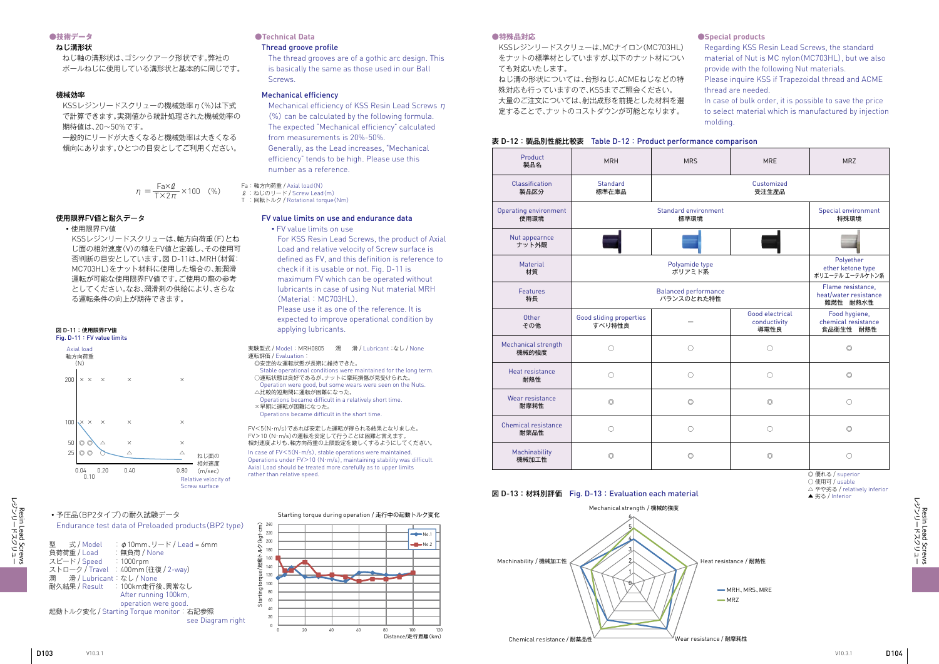フツソコーホメクコョー Resin Lead Screws

Resin Lead Screws<br>レジンリードスクリュー

#### **●技術データ**

#### ねじ溝形状

ねじ軸の溝形状は、ゴシックアーク形状です。弊社の ボールねじに使用している溝形状と基本的に同じです。

## **●Technical Data**

#### Thread groove profile

KSSレジンリードスクリューの機械効率 n(%)は下式 で計算できます。実測値から統計処理された機械効率の 期待値は、20~50%です。

The thread grooves are of a gothic arc design. This is basically the same as those used in our Ball Screws.

#### 機械効率

Mechanical efficiency of KSS Resin Lead Screws η (%) can be calculated by the following formula. The expected "Mechanical efficiency" calculated from measurements is 20%-50%. Generally, as the Lead increases, "Mechanical efficiency" tends to be high. Please use this number as a reference.

#### Fa: 軸方向荷重 / Axial load(N)

 $\ell$  : ねじのリード / Screw Lead(m)

一般的にリードが大きくなると機械効率は大きくなる 傾向にあります。ひとつの目安としてご利用ください。

#### Mechanical efficiency

#### 使用限界FV値と耐久データ

・使用限界FV値

KSSレジンリードスクリューは、軸方向荷重(F)とね じ面の相対速度(V)の積をFV値と定義し、その使用可 否判断の目安としています。図 D-11は、MRH(材質: MC703HL)をナット材料に使用した場合の、無潤滑 運転が可能な使用限界FV値です。ご使用の際の参考 としてください。なお、潤滑剤の供給により、さらな る運転条件の向上が期待できます。

#### FV value limits on use and endurance data

・ FV value limits on use

For KSS Resin Lead Screws, the product of Axial Load and relative velocity of Screw surface is defined as FV, and this definition is reference to check if it is usable or not. Fig. D-11 is maximum FV which can be operated without lubricants in case of using Nut material MRH (Material : MC703HL).

Please use it as one of the reference. It is expected to improve operational condition by applying lubricants.

In case of  $FV < 5(N \cdot m/s)$ , stable operations were maintained. Operations under  $FV>10$  (N·m/s), maintaining stability was difficult Axial Load should be treated more carefully as to upper limits rather than relative speed.



#### Starting torque during operation / 走行中の起動トルク変化

#### ・予圧品(BP2タイプ)の耐久試験データ Endurance test data of Preloaded products(BP2 type)

型 式 / Model :φ10mm、リード / Lead = 6mm 負荷荷重 / Load : 無負荷 / None スピード / Speed : 1000rpm ストローク / Travel : 400mm(往復 / 2-way) 潤 滑/Lubricant:なし/None<br>耐久結果/Result : 100km走行 :100km走行後、異常なし After running 100km, operation were good. 起動トルク変化 / Starting Torque monitor: 右記参照 see Diagram right



◎ 優れる / superior

○ 使用可 / usable

△ やや劣る / relatively inferior

▲ 劣る / Inferior



Fig. D-11 : FV value limits

実験型式 / Model : MRH0805 潤 滑 / Lubricant:なし / None 運転評価 / Evaluation:

- ◎安定的な運転状態が長期に維持できた。 Stable operational conditions were maintained for the long term.
- ○運転状態は良好であるが、ナットに摩耗損傷が見受けられた。 Operation were good, but some wears were seen on the Nuts.
- △比較的短期間に運転が困難になった。 Operations became difficult in a relatively short time.
- ×早期に運転が困難になった。
- Operations became difficult in the short time.

FV<5(N・m/s)であれば安定した運転が得られる結果となりました。 FV>10 (N・m/s)の運転を安定して行うことは困難と言えます。 相対速度よりも、軸方向荷重の上限設定を厳しくするようにしてください。

$$
\eta = \frac{\text{Fa} \times \text{Q}}{\text{T} \times 2\pi} \times 100 \quad (\%)
$$

T :回転トルク / Rotational torque(Nm)

#### **●特殊品対応**

KSSレジンリードスクリューは、MCナイロン(MC703HL) をナットの標準材としていますが、以下のナット材につい ても対応いたします。

ねじ溝の形状については、台形ねじ、ACMEねじなどの特 殊対応も行っていますので、KSSまでご照会ください。 大量のご注文については、射出成形を前提とした材料を選 定することで、ナットのコストダウンが可能となります。

#### 表 D-12:製品別性能比較表 Table D-12: Product performance comparison

#### 図 D-13 :材料別評価 Fig. D-13 : Evaluation each material

#### **●Special products**

- Regarding KSS Resin Lead Screws, the standard material of Nut is MC nylon(MC703HL), but we also provide with the following Nut materials.
- Please inquire KSS if Trapezoidal thread and ACME thread are needed.
- In case of bulk order, it is possible to save the price to select material which is manufactured by injection molding.

| Product<br>製品名                | <b>MRH</b>                        | <b>MRS</b>                                             | <b>MRE</b>                              | <b>MRZ</b>                                        |
|-------------------------------|-----------------------------------|--------------------------------------------------------|-----------------------------------------|---------------------------------------------------|
| Classification<br>製品区分        | <b>Standard</b><br>標準在庫品          |                                                        | Customized<br>受注生産品                     |                                                   |
| Operating environment<br>使用環境 |                                   | Standard environment<br>標準環境                           |                                         | Special environment<br>特殊環境                       |
| Nut appearnce<br>ナット外観        |                                   |                                                        |                                         |                                                   |
| Material<br>材質                |                                   | Polyether<br>ether ketone type<br>ポリエーテル エーテルケトン系      |                                         |                                                   |
| Features<br>特長                |                                   | Flame resistance,<br>heat/water resistance<br>難燃性 耐熱水性 |                                         |                                                   |
| Other<br>その他                  | Good sliding properties<br>すべり特性良 |                                                        | Good electrical<br>conductivity<br>導電性良 | Food hygiene,<br>chemical resistance<br>食品衛生性 耐熱性 |
| Mechanical strength<br>機械的強度  | $\bigcirc$                        | $\bigcirc$                                             | $\bigcirc$                              | $\circledcirc$                                    |
| Heat resistance<br>耐熱性        | $\bigcirc$                        | ∩                                                      | $\bigcirc$                              | $\circledcirc$                                    |
| Wear resistance<br>耐摩耗性       | $\circledcirc$                    | $\circledcirc$                                         | $\circledcirc$                          | $\bigcirc$                                        |
| Chemical resistance<br>耐薬品性   | $\bigcirc$                        | $\bigcirc$                                             | $\bigcirc$                              | $\circledcirc$                                    |
| Machinability<br>機械加工性        | $\circledcirc$                    | $\circledcirc$                                         | $\circledcirc$                          | ∩                                                 |

Heat resistance / 耐熱性

**MRH, MRS, MRF**  $-MRZ$ 

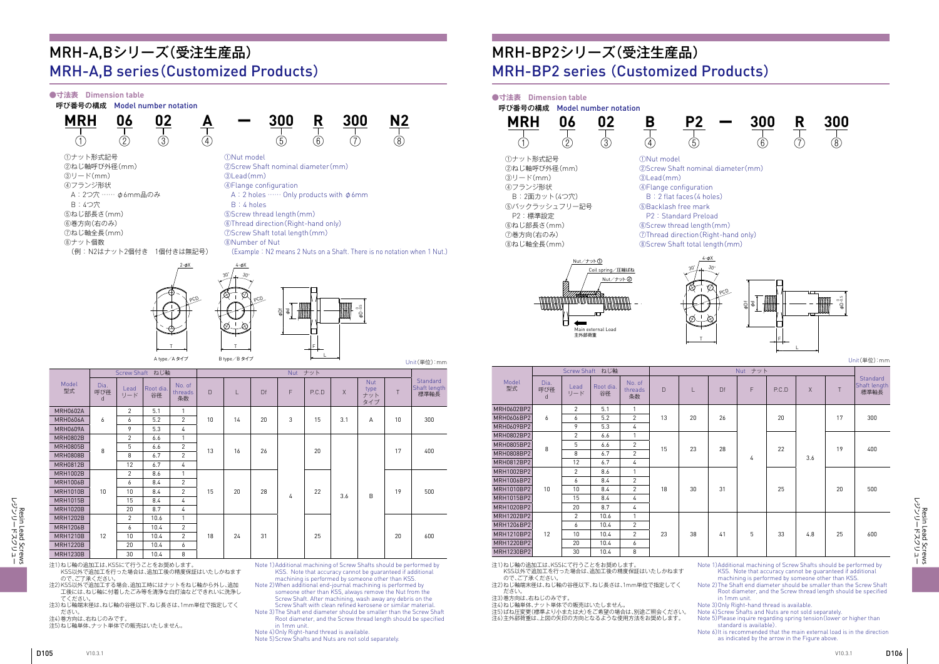Resin Lead Screws<br>レジンリードスクリュー フツソコードメクフュー Resin Lead Screws

フツソコーホメクコョー Resin Lead Screws

Resin Lead Screws<br>レジンリードスクリュー

ο<br>ΦD - 0 -0.5

 $U_{\text{init}}(\mathbb{H}/\mathbb{H})$ :mm



T



#### **●寸法表 Dimension table**

呼び番号の構成 Model number notation

①Nut model

②Screw Shaft nominal diameter(mm)

③Lead(mm)

④Flange configuration

A : 2 holes …… Only products with φ6mm



B : 4 holes

⑤Screw thread length(mm)

⑥Thread direction(Right-hand only) ⑦Screw Shaft total length(mm)

⑧ Number of Nut

(Example : N2 means 2 Nuts on a Shaft. There is no notation when 1 Nut.)

# MRH-A,Bシリーズ(受注生産品) MRH-A,B series(Customized Products)

|                               |                  |                |                 |                         |        |    |    |   |         |     |                                  |    | $U(III)$ $+1$ $1$ $1$ $1$ $1$ $1$ $1$ $1$                           |
|-------------------------------|------------------|----------------|-----------------|-------------------------|--------|----|----|---|---------|-----|----------------------------------|----|---------------------------------------------------------------------|
|                               |                  |                | Screw Shaft ねじ軸 |                         |        |    |    |   | Nut ナット |     |                                  |    |                                                                     |
| Model<br>型式                   | Dia.<br>呼び径<br>d | Lead<br>リード    | Root dia.<br>谷径 | No. of<br>threads<br>条数 | $\Box$ | н  | Df | F | P.C.D   | X   | <b>Nut</b><br>type<br>ナット<br>タイプ | T  | Standard<br>Shaft length<br>標準軸長                                    |
| <b>MRH0602A</b>               |                  | $\overline{2}$ | 5.1             | 1                       |        |    |    |   |         |     |                                  |    |                                                                     |
| <b>MRH0606A</b>               | 6                | 6              | 5.2             | $\overline{2}$          | 10     | 14 | 20 | 3 | 15      | 3.1 | A                                | 10 | 300                                                                 |
| <b>MRH0609A</b>               |                  | 9              | 5.3             | 4                       |        |    |    |   |         |     |                                  |    |                                                                     |
| <b>MRH0802B</b>               |                  | $\overline{2}$ | 6.6             | 1                       |        |    | 26 |   | 20      | 3.6 | B                                |    | 400                                                                 |
| <b>MRH0805B</b>               | 8                | 5              | 6.6             | $\overline{2}$          | 13     | 16 |    |   |         |     |                                  | 17 |                                                                     |
| <b>MRH0808B</b>               |                  | 8              | 6.7             | $\overline{2}$          |        |    |    |   |         |     |                                  |    |                                                                     |
| <b>MRH0812B</b>               |                  | 12             | 6.7             | 4                       |        |    |    |   |         |     |                                  |    |                                                                     |
| <b>MRH1002B</b>               |                  | $\overline{2}$ | 8.6             | 1                       |        |    | 28 | 4 | 22      |     |                                  | 19 | 500                                                                 |
| <b>MRH1006B</b>               |                  | 6              | 8.4             | $\overline{2}$          |        |    |    |   |         |     |                                  |    |                                                                     |
| <b>MRH1010B</b>               | 10               | 10             | 8.4             | $\overline{2}$          | 15     | 20 |    |   |         |     |                                  |    |                                                                     |
| <b>MRH1015B</b>               |                  | 15             | 8.4             | 4                       |        |    |    |   |         |     |                                  |    |                                                                     |
| <b>MRH1020B</b>               |                  | 20             | 8.7             | 4                       |        |    |    |   |         |     |                                  |    |                                                                     |
| <b>MRH1202B</b>               |                  | $\overline{2}$ | 10.6            | 1                       |        |    |    |   |         |     |                                  |    |                                                                     |
| <b>MRH1206B</b>               |                  | 6              | 10.4            | $\overline{2}$          |        |    |    |   |         |     |                                  |    |                                                                     |
| <b>MRH1210B</b>               | 12               | 10             | 10.4            | $\overline{2}$          | 18     | 24 | 31 |   | 25      |     |                                  | 20 | 600                                                                 |
| <b>MRH1220B</b>               |                  | 20             | 10.4            | 6                       |        |    |    |   |         |     |                                  |    |                                                                     |
| <b>MRH1230B</b>               |                  | 30             | 10.4            | 8                       |        |    |    |   |         |     |                                  |    |                                                                     |
| 注1)ねじ軸の追加工は、KSSにて行うことをお奨めします。 |                  |                |                 |                         |        |    |    |   |         |     |                                  |    | Note 1) Additional machining of Screw Shafts should be performed by |

注1)ねじ軸の追加工は、KSSにて行うことをお奨めします。 KSS以外で追加工を行った場合は、追加工後の精度保証はいたしかねます ので、ご了承ください。

注2) KSS以外で追加工する場合、追加工時にはナットをねじ軸から外し、追加 工後には、ねじ軸に付着したごみ等を清浄な白灯油などできれいに洗浄し てください。

KSS以外で追加工を行った場合は、追加工後の精度保証はいたしかねます ので、ご了承ください。

注3)ねじ軸端末径は、ねじ軸の谷径以下、ねじ長さは、1mm単位で指定してく ださい。

注4)巻方向は、右ねじのみです。

注5)ねじ軸単体、ナット単体での販売はいたしません。

KSS. Note that accuracy cannot be guaranteed if additional machining is performed by someone other than KSS. Note 2) When additional end-journal machining is performed by someone other than KSS, always remove the Nut from the Screw Shaft. After machining, wash away any debris on the Screw Shaft with clean refined kerosene or similar material. Note 3) The Shaft end diameter should be smaller than the Screw Shaft Root diameter, and the Screw thread length should be specified

- in 1mm unit. Note 4) Only Right-hand thread is available.
- Note 5) Screw Shafts and Nuts are not sold separately.

#### **●寸法表 Dimension table**

呼び番号の構成 Model number notation

# MRH-BP2シリーズ(受注生産品) MRH-BP2 series (Customized Products)

|             |                  |                | Screw Shaft ねじ軸 |                         | Nut ナット                   |    |    |   |       |          |    |                                  |
|-------------|------------------|----------------|-----------------|-------------------------|---------------------------|----|----|---|-------|----------|----|----------------------------------|
| Model<br>型式 | Dia.<br>呼び径<br>d | Lead<br>リード    | Root dia.<br>谷径 | No. of<br>threads<br>条数 | $\Box$                    | L. | Df | F | P.C.D | $\times$ | T  | Standard<br>Shaft length<br>標準軸長 |
| MRH0602BP2  |                  | 2              | 5.1             | 1                       |                           |    |    |   |       |          |    |                                  |
| MRH0606BP2  | 6                | 6              | 5.2             | $\overline{2}$          | 13                        | 20 | 26 |   | 20    |          | 17 | 300                              |
| MRH0609BP2  |                  | 9              | 5.3             | 4                       |                           |    |    |   |       |          |    |                                  |
| MRH0802BP2  |                  | $\overline{2}$ | 6.6             | 1                       |                           |    | 28 |   | 22    |          |    |                                  |
| MRH0805BP2  | 8                | 5              | 6.6             | $\overline{c}$          | 15<br>$\overline{2}$<br>4 | 23 |    |   |       |          | 19 | 400                              |
| MRH0808BP2  |                  | 8              | 6.7             |                         |                           |    |    | 4 |       | 3.6      |    |                                  |
| MRH0812BP2  |                  | 12             | 6.7             |                         |                           |    |    |   |       |          |    |                                  |
| MRH1002BP2  |                  | $\overline{2}$ | 8.6             | $\mathbf{1}$            |                           | 30 | 31 |   |       |          | 20 | 500                              |
| MRH1006BP2  |                  | 6              | 8.4             | $\overline{2}$          | 18                        |    |    |   | 25    |          |    |                                  |
| MRH1010BP2  | 10               | 10             | 8.4             | $\overline{2}$          |                           |    |    |   |       |          |    |                                  |
| MRH1015BP2  |                  | 15             | 8.4             | 4                       |                           |    |    |   |       |          |    |                                  |
| MRH1020BP2  |                  | 20             | 8.7             | 4                       |                           |    |    |   |       |          |    |                                  |
| MRH1202BP2  |                  | $\overline{2}$ | 10.6            | $\mathbf{1}$            |                           |    |    |   |       |          |    |                                  |
| MRH1206BP2  |                  | 6              | 10.4            | $\overline{2}$          |                           |    |    |   |       |          |    |                                  |
| MRH1210BP2  | 12               | 10             | 10.4            | $\overline{2}$          | 23                        | 38 | 41 | 5 | 33    | 4.8      | 25 | 600                              |
| MRH1220BP2  |                  | 20             | 10.4            | 6                       |                           |    |    |   |       |          |    |                                  |
| MRH1230BP2  |                  | 30             | 10.4            | 8                       |                           |    |    |   |       |          |    |                                  |

注1)ねじ軸の追加工は、KSSにて行うことをお奨めします。

注2)ねじ軸端末径は、ねじ軸の谷径以下、ねじ長さは、1mm単位で指定してく ださい。

注3)巻方向は、右ねじのみです。

注4)ねじ軸単体、ナット単体での販売はいたしません。

注5)ばね圧変更(標準より小または大)をご希望の場合は、別途ご照会ください。 注6)主外部荷重は、上図の矢印の方向となるような使用方法をお奨めします。

Note 1) Additional machining of Screw Shafts should be performed by KSS. Note that accuracy cannot be guaranteed if additional machining is performed by someone other than KSS.

Note 2) The Shaft end diameter should be smaller than the Screw Shaft Root diameter, and the Screw thread length should be specified in 1mm unit.

Note 3)Only Right-hand thread is available.

Note 4)Screw Shafts and Nuts are not sold separately.

Note 5) Please inquire regarding spring tension(lower or higher than standard is available).

Note 6) It is recommended that the main external load is in the direction as indicated by the arrow in the Figure above.

Unit(単位):mm





①ナット形式記号 ②ねじ軸呼び外径(mm)

③リード(mm) ④フランジ形状

B : 2面カット(4つ穴) ⑤バックラッシュフリー記号

P2 :標準設定 ⑥ねじ部長さ(mm) ⑦巻方向(右のみ) ⑧ねじ軸全長(mm)



①Nut model ②Screw Shaft nominal diameter(mm) ③Lead(mm) ④Flange configuration B : 2 flat faces(4 holes) ⑤ Backlash free mark P2 : Standard Preload ⑥ Screw thread length(mm) ⑦Thread direction(Right-hand only) ⑧ Screw Shaft total length(mm)



- 
- 
- 
- 
- 
- 
-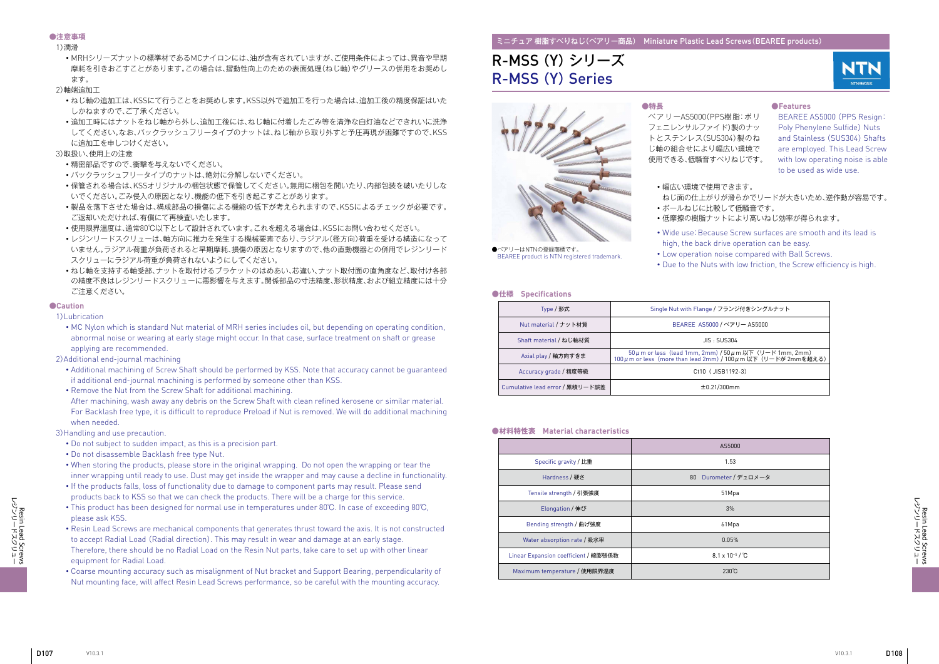

#### ミニチュア 樹脂すべりねじ(ベアリー商品) Miniature Plastic Lead Screws(BEAREE products)

# R-MSS (Y)シリーズ R-MSS (Y) Series



●ベアリーはNTNの登録商標です。 BEAREE product is NTN registered trademark.

・幅広い環境で使用できます。

- ねじ面の仕上がりが滑らかでリードが大きいため、逆作動が容易です。 ・ボールねじに比較して低騒音です。
- 
- ・Wide use:Because Screw surfaces are smooth and its lead is high, the back drive operation can be easy.
- ・低摩擦の樹脂ナットにより高いねじ効率が得られます。
- ・Low operation noise compared with Ball Screws.
- ・Due to the Nuts with low friction, the Screw efficiency is high.

**●特長**

ベアリーAS5000(PPS樹脂:ポリ フェニレンサルファイド)製のナッ トとステンレス(SUS304)製のね じ軸の組合せにより幅広い環境で 使用できる、低騒音すべりねじです。

#### **●Features**

BEAREE AS5000 (PPS Resign: Poly Phenylene Sulfide) Nuts and Stainless (SUS304) Shafts are employed. This Lead Screw with low operating noise is able to be used as wide use.

#### **●仕様 Specifications**

#### **●材料特性表 Material characteristics**

| Type / 形式                       | Single Nut with Flange / フランジ付きシングルナット                                                                                        |
|---------------------------------|-------------------------------------------------------------------------------------------------------------------------------|
| Nut material / ナット材質            | BEAREE AS5000 / ベアリー AS5000                                                                                                   |
| Shaft material / ねじ軸材質          | JIS : SUB304                                                                                                                  |
| Axial play / 軸方向すきま             | 50 μ m or less (lead 1mm, 2mm) / 50 μ m 以下 (リード 1mm, 2mm)<br>100 μ m or less (more than lead 2mm) / 100 μ m 以下 (リードが 2mmを超える) |
| Accuracy grade / 精度等級           | Ct10 (JISB1192-3)                                                                                                             |
| Cumulative lead error / 累積リード誤差 | ±0.21/300mm                                                                                                                   |

|                                      | AS5000                                |
|--------------------------------------|---------------------------------------|
| Specific gravity / 比重                | 1.53                                  |
| Hardness / 硬さ                        | 80 Durometer / デュロメータ                 |
| Tensile strength / 引張強度              | 51Mpa                                 |
| Elongation / 伸び                      | 3%                                    |
| Bending strength / 曲げ強度              | 61Mpa                                 |
| Water absorption rate / 吸水率          | 0.05%                                 |
| Linear Expansion coefficient / 線膨張係数 | 8.1 x 10 <sup>-5</sup> / $^{\circ}$ C |
| Maximum temperature / 使用限界温度         | 230°C                                 |

#### **●注意事項**

1)潤滑

・MRHシリーズナットの標準材であるMCナイロンには、油が含有されていますが、ご使用条件によっては、異音や早期 摩耗を引きおこすことがあります。この場合は、摺動性向上のための表面処理(ねじ軸)やグリースの併用をお奨めし ます。

2)軸端追加工

- ・ねじ軸の追加工は、KSSにて行うことをお奨めします。KSS以外で追加工を行った場合は、追加工後の精度保証はいた しかねますので、ご了承ください。
- ・追加工時にはナットをねじ軸から外し、追加工後には、ねじ軸に付着したごみ等を清浄な白灯油などできれいに洗浄 してください。なお、バックラッシュフリータイプのナットは、ねじ軸から取り外すと予圧再現が困難ですので、KSS に追加工を申しつけください。

#### 3)取扱い、使用上の注意

- ・精密部品ですので、衝撃を与えないでください。
- ・バックラッシュフリータイプのナットは、絶対に分解しないでください。
- ・保管される場合は、KSSオリジナルの梱包状態で保管してください。無用に梱包を開いたり、内部包装を破いたりしな いでください。ごみ侵入の原因となり、機能の低下を引き起こすことがあります。
- ・製品を落下させた場合は、構成部品の損傷による機能の低下が考えられますので、KSSによるチェックが必要です。 ご返却いただければ、有償にて再検査いたします。
- ・使用限界温度は、通常80℃以下として設計されています。これを超える場合は、KSSにお問い合わせください。
- ・レジンリードスクリューは、軸方向に推力を発生する機械要素であり、ラジアル(径方向)荷重を受ける構造になって いません。ラジアル荷重が負荷されると早期摩耗、損傷の原因となりますので、他の直動機器との併用でレジンリード スクリューにラジアル荷重が負荷されないようにしてください。
- ・ねじ軸を支持する軸受部、ナットを取付けるブラケットのはめあい、芯違い、ナット取付面の直角度など、取付け各部 の精度不良はレジンリードスクリューに悪影響を与えます。関係部品の寸法精度、形状精度、および組立精度には十分 ご注意ください。

#### **●Caution**

1)Lubrication

・ MC Nylon which is standard Nut material of MRH series includes oil, but depending on operating condition, abnormal noise or wearing at early stage might occur. In that case, surface treatment on shaft or grease applying are recommended.

2)Additional end-journal machining

- ・ Additional machining of Screw Shaft should be performed by KSS. Note that accuracy cannot be guaranteed if additional end-journal machining is performed by someone other than KSS.
- ・ Remove the Nut from the Screw Shaft for additional machining. After machining, wash away any debris on the Screw Shaft with clean refined kerosene or similar material. For Backlash free type, it is difficult to reproduce Preload if Nut is removed. We will do additional machining when needed.

3) Handling and use precaution.

- ・ Do not subject to sudden impact, as this is a precision part.
- ・ Do not disassemble Backlash free type Nut.
- ・ When storing the products, please store in the original wrapping. Do not open the wrapping or tear the inner wrapping until ready to use. Dust may get inside the wrapper and may cause a decline in functionality.
- ・ If the products falls, loss of functionality due to damage to component parts may result. Please send products back to KSS so that we can check the products. There will be a charge for this service.
- ・ This product has been designed for normal use in temperatures under 80℃. In case of exceeding 80℃, please ask KSS.
- ・ Resin Lead Screws are mechanical components that generates thrust toward the axis. It is not constructed to accept Radial Load (Radial direction). This may result in wear and damage at an early stage. Therefore, there should be no Radial Load on the Resin Nut parts, take care to set up with other linear equipment for Radial Load.
- ・ Coarse mounting accuracy such as misalignment of Nut bracket and Support Bearing, perpendicularity of Nut mounting face, will affect Resin Lead Screws performance, so be careful with the mounting accuracy.